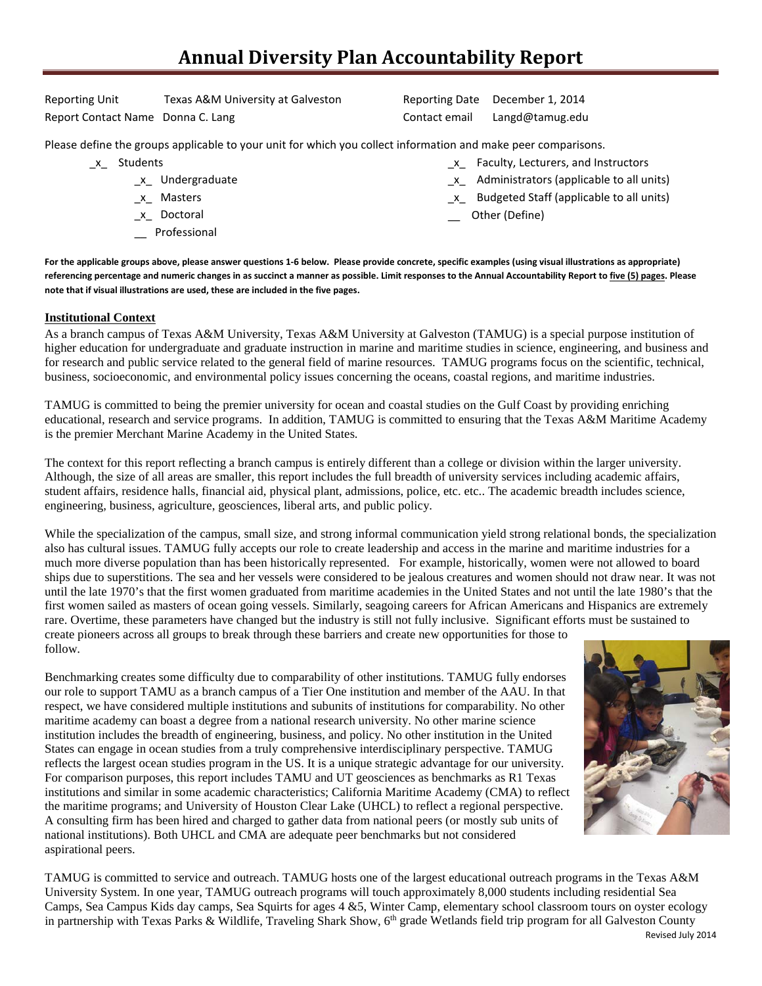# **Annual Diversity Plan Accountability Report**

Reporting Unit Texas A&M University at Galveston Reporting Date December 1, 2014 Report Contact Name Donna C. Lang Contact email Langd@tamug.edu

Please define the groups applicable to your unit for which you collect information and make peer comparisons.

- \_x\_ Students
	- \_x\_ Undergraduate
	- \_x\_ Masters
	- \_x\_ Doctoral
	- \_\_ Professional

\_x\_ Faculty, Lecturers, and Instructors

- \_x\_ Administrators (applicable to all units)
- \_x\_ Budgeted Staff (applicable to all units)
- Other (Define)

**For the applicable groups above, please answer questions 1-6 below. Please provide concrete, specific examples (using visual illustrations as appropriate) referencing percentage and numeric changes in as succinct a manner as possible. Limit responses to the Annual Accountability Report to five (5) pages. Please note that if visual illustrations are used, these are included in the five pages.**

#### **Institutional Context**

As a branch campus of Texas A&M University, Texas A&M University at Galveston (TAMUG) is a special purpose institution of higher education for undergraduate and graduate instruction in marine and maritime studies in science, engineering, and business and for research and public service related to the general field of marine resources. TAMUG programs focus on the scientific, technical, business, socioeconomic, and environmental policy issues concerning the oceans, coastal regions, and maritime industries.

TAMUG is committed to being the premier university for ocean and coastal studies on the Gulf Coast by providing enriching educational, research and service programs. In addition, TAMUG is committed to ensuring that the Texas A&M Maritime Academy is the premier Merchant Marine Academy in the United States.

The context for this report reflecting a branch campus is entirely different than a college or division within the larger university. Although, the size of all areas are smaller, this report includes the full breadth of university services including academic affairs, student affairs, residence halls, financial aid, physical plant, admissions, police, etc. etc.. The academic breadth includes science, engineering, business, agriculture, geosciences, liberal arts, and public policy.

While the specialization of the campus, small size, and strong informal communication yield strong relational bonds, the specialization also has cultural issues. TAMUG fully accepts our role to create leadership and access in the marine and maritime industries for a much more diverse population than has been historically represented. For example, historically, women were not allowed to board ships due to superstitions. The sea and her vessels were considered to be jealous creatures and women should not draw near. It was not until the late 1970's that the first women graduated from maritime academies in the United States and not until the late 1980's that the first women sailed as masters of ocean going vessels. Similarly, seagoing careers for African Americans and Hispanics are extremely rare. Overtime, these parameters have changed but the industry is still not fully inclusive. Significant efforts must be sustained to create pioneers across all groups to break through these barriers and create new opportunities for those to follow.

Benchmarking creates some difficulty due to comparability of other institutions. TAMUG fully endorses our role to support TAMU as a branch campus of a Tier One institution and member of the AAU. In that respect, we have considered multiple institutions and subunits of institutions for comparability. No other maritime academy can boast a degree from a national research university. No other marine science institution includes the breadth of engineering, business, and policy. No other institution in the United States can engage in ocean studies from a truly comprehensive interdisciplinary perspective. TAMUG reflects the largest ocean studies program in the US. It is a unique strategic advantage for our university. For comparison purposes, this report includes TAMU and UT geosciences as benchmarks as R1 Texas institutions and similar in some academic characteristics; California Maritime Academy (CMA) to reflect the maritime programs; and University of Houston Clear Lake (UHCL) to reflect a regional perspective. A consulting firm has been hired and charged to gather data from national peers (or mostly sub units of national institutions). Both UHCL and CMA are adequate peer benchmarks but not considered aspirational peers.



TAMUG is committed to service and outreach. TAMUG hosts one of the largest educational outreach programs in the Texas A&M University System. In one year, TAMUG outreach programs will touch approximately 8,000 students including residential Sea Camps, Sea Campus Kids day camps, Sea Squirts for ages 4 &5, Winter Camp, elementary school classroom tours on oyster ecology in partnership with Texas Parks & Wildlife, Traveling Shark Show, 6<sup>th</sup> grade Wetlands field trip program for all Galveston County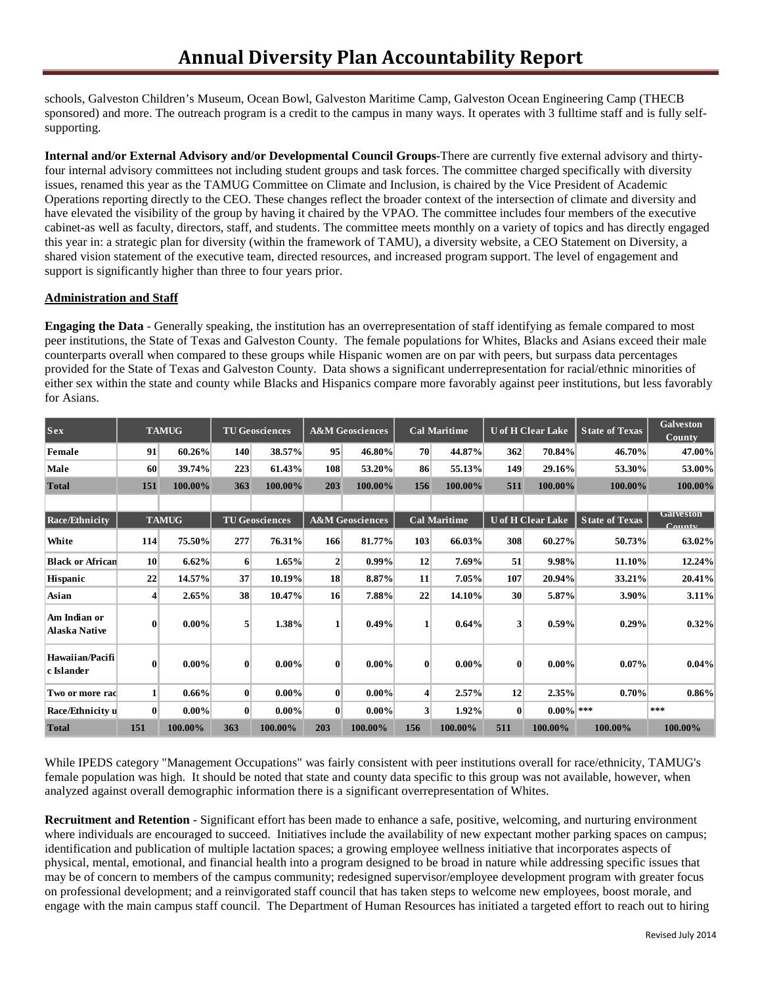schools, Galveston Children's Museum, Ocean Bowl, Galveston Maritime Camp, Galveston Ocean Engineering Camp (THECB sponsored) and more. The outreach program is a credit to the campus in many ways. It operates with 3 fulltime staff and is fully selfsupporting.

**Internal and/or External Advisory and/or Developmental Council Groups-**There are currently five external advisory and thirtyfour internal advisory committees not including student groups and task forces. The committee charged specifically with diversity issues, renamed this year as the TAMUG Committee on Climate and Inclusion, is chaired by the Vice President of Academic Operations reporting directly to the CEO. These changes reflect the broader context of the intersection of climate and diversity and have elevated the visibility of the group by having it chaired by the VPAO. The committee includes four members of the executive cabinet-as well as faculty, directors, staff, and students. The committee meets monthly on a variety of topics and has directly engaged this year in: a strategic plan for diversity (within the framework of TAMU), a diversity website, a CEO Statement on Diversity, a shared vision statement of the executive team, directed resources, and increased program support. The level of engagement and support is significantly higher than three to four years prior.

#### **Administration and Staff**

**Engaging the Data** - Generally speaking, the institution has an overrepresentation of staff identifying as female compared to most peer institutions, the State of Texas and Galveston County. The female populations for Whites, Blacks and Asians exceed their male counterparts overall when compared to these groups while Hispanic women are on par with peers, but surpass data percentages provided for the State of Texas and Galveston County. Data shows a significant underrepresentation for racial/ethnic minorities of either sex within the state and county while Blacks and Hispanics compare more favorably against peer institutions, but less favorably for Asians.

| Sex                                  |                 | <b>TAMUG</b> |                       | <b>TU Geosciences</b> |                            | <b>A&amp;M</b> Geosciences |                     | <b>Cal Maritime</b> | <b>U</b> of H Clear Lake |              | <b>State of Texas</b> | <b>Galveston</b><br>County       |
|--------------------------------------|-----------------|--------------|-----------------------|-----------------------|----------------------------|----------------------------|---------------------|---------------------|--------------------------|--------------|-----------------------|----------------------------------|
| Female                               | 91              | 60.26%       | 140                   | 38.57%                | 95                         | 46.80%                     | 70                  | 44.87%              | 362                      | 70.84%       | 46.70%                | 47.00%                           |
| Male                                 | 60              | 39.74%       | 223                   | 61.43%                | 108                        | 53.20%                     | 86                  | 55.13%              | 149                      | 29.16%       | 53.30%                | 53.00%                           |
| <b>Total</b>                         | 151             | 100.00%      | 363                   | 100.00%               | 203                        | 100.00%                    | 156                 | 100.00%             | 511                      | 100.00%      | 100.00%               | 100.00%                          |
|                                      |                 |              |                       |                       |                            |                            |                     |                     |                          |              |                       |                                  |
| <b>Race/Ethnicity</b>                | <b>TAMUG</b>    |              | <b>TU Geosciences</b> |                       | <b>A&amp;M</b> Geosciences |                            | <b>Cal Maritime</b> |                     | <b>U</b> of H Clear Lake |              | <b>State of Texas</b> | Galveston<br>$C_{\rm \bf annfv}$ |
| White                                | 114             | 75.50%       | 277                   | 76.31%                | 166                        | 81.77%                     | 103                 | 66.03%              | 308                      | 60.27%       | 50.73%                | 63.02%                           |
| <b>Black or African</b>              | 10 <sup>°</sup> | 6.62%        | 6                     | $1.65\%$              | $\overline{2}$             | $0.99\%$                   | 12                  | 7.69%               | 51                       | 9.98%        | 11.10%                | 12.24%                           |
| Hispanic                             | 22              | 14.57%       | 37                    | 10.19%                | 18                         | 8.87%                      | 11                  | 7.05%               | 107                      | 20.94%       | 33.21%                | 20.41%                           |
| Asian                                | $\overline{4}$  | 2.65%        | 38                    | 10.47%                | 16                         | 7.88%                      | 22                  | 14.10%              | 30                       | 5.87%        | 3.90%                 | 3.11%                            |
| Am Indian or<br><b>Alaska Native</b> | $\bf{0}$        | $0.00\%$     | 5 <sup>1</sup>        | 1.38%                 | 1                          | 0.49%                      | 1                   | 0.64%               | 3                        | 0.59%        | 0.29%                 | 0.32%                            |
| Hawaiian/Pacifi<br>c Islander        | $\bf{0}$        | $0.00\%$     | $\bf{0}$              | $0.00\%$              | $\bf{0}$                   | $0.00\%$                   | $\bf{0}$            | $0.00\%$            | $\mathbf{0}$             | $0.00\%$     | $0.07\%$              | 0.04%                            |
| Two or more rad                      | $\mathbf{1}$    | $0.66\%$     | $\bf{0}$              | $0.00\%$              | $\bf{0}$                   | $0.00\%$                   | $\vert$             | 2.57%               | 12                       | 2.35%        | 0.70%                 | $0.86\%$                         |
| Race/Ethnicity u                     | $\bf{0}$        | $0.00\%$     | $\bf{0}$              | $0.00\%$              | $\bf{0}$                   | $0.00\%$                   | $\mathbf{3}$        | 1.92%               | $\bf{0}$                 | $0.00\%$ *** |                       | $* * *$                          |
| <b>Total</b>                         | 151             | 100.00%      | 363                   | 100.00%               | 203                        | 100.00%                    | 156                 | 100.00%             | 511                      | 100.00%      | 100.00%               | 100.00%                          |

While IPEDS category "Management Occupations" was fairly consistent with peer institutions overall for race/ethnicity, TAMUG's female population was high. It should be noted that state and county data specific to this group was not available, however, when analyzed against overall demographic information there is a significant overrepresentation of Whites.

**Recruitment and Retention** - Significant effort has been made to enhance a safe, positive, welcoming, and nurturing environment where individuals are encouraged to succeed. Initiatives include the availability of new expectant mother parking spaces on campus; identification and publication of multiple lactation spaces; a growing employee wellness initiative that incorporates aspects of physical, mental, emotional, and financial health into a program designed to be broad in nature while addressing specific issues that may be of concern to members of the campus community; redesigned supervisor/employee development program with greater focus on professional development; and a reinvigorated staff council that has taken steps to welcome new employees, boost morale, and engage with the main campus staff council. The Department of Human Resources has initiated a targeted effort to reach out to hiring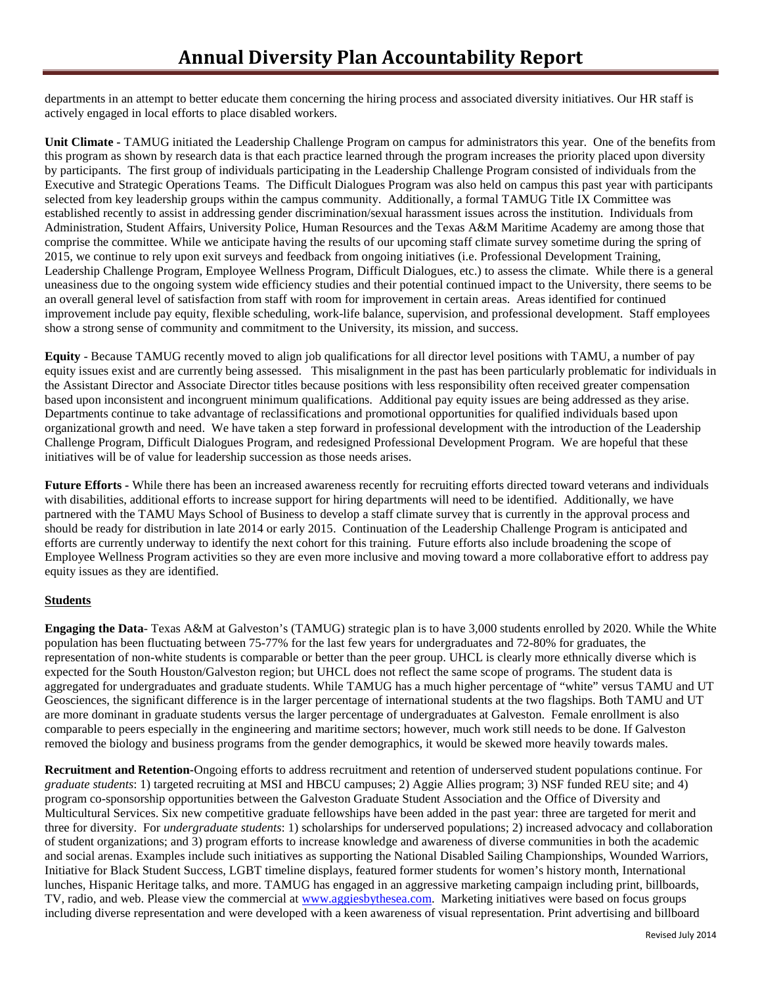departments in an attempt to better educate them concerning the hiring process and associated diversity initiatives. Our HR staff is actively engaged in local efforts to place disabled workers.

**Unit Climate -** TAMUG initiated the Leadership Challenge Program on campus for administrators this year. One of the benefits from this program as shown by research data is that each practice learned through the program increases the priority placed upon diversity by participants. The first group of individuals participating in the Leadership Challenge Program consisted of individuals from the Executive and Strategic Operations Teams. The Difficult Dialogues Program was also held on campus this past year with participants selected from key leadership groups within the campus community. Additionally, a formal TAMUG Title IX Committee was established recently to assist in addressing gender discrimination/sexual harassment issues across the institution. Individuals from Administration, Student Affairs, University Police, Human Resources and the Texas A&M Maritime Academy are among those that comprise the committee. While we anticipate having the results of our upcoming staff climate survey sometime during the spring of 2015, we continue to rely upon exit surveys and feedback from ongoing initiatives (i.e. Professional Development Training, Leadership Challenge Program, Employee Wellness Program, Difficult Dialogues, etc.) to assess the climate. While there is a general uneasiness due to the ongoing system wide efficiency studies and their potential continued impact to the University, there seems to be an overall general level of satisfaction from staff with room for improvement in certain areas. Areas identified for continued improvement include pay equity, flexible scheduling, work-life balance, supervision, and professional development. Staff employees show a strong sense of community and commitment to the University, its mission, and success.

**Equity** - Because TAMUG recently moved to align job qualifications for all director level positions with TAMU, a number of pay equity issues exist and are currently being assessed. This misalignment in the past has been particularly problematic for individuals in the Assistant Director and Associate Director titles because positions with less responsibility often received greater compensation based upon inconsistent and incongruent minimum qualifications. Additional pay equity issues are being addressed as they arise. Departments continue to take advantage of reclassifications and promotional opportunities for qualified individuals based upon organizational growth and need. We have taken a step forward in professional development with the introduction of the Leadership Challenge Program, Difficult Dialogues Program, and redesigned Professional Development Program. We are hopeful that these initiatives will be of value for leadership succession as those needs arises.

**Future Efforts -** While there has been an increased awareness recently for recruiting efforts directed toward veterans and individuals with disabilities, additional efforts to increase support for hiring departments will need to be identified. Additionally, we have partnered with the TAMU Mays School of Business to develop a staff climate survey that is currently in the approval process and should be ready for distribution in late 2014 or early 2015. Continuation of the Leadership Challenge Program is anticipated and efforts are currently underway to identify the next cohort for this training. Future efforts also include broadening the scope of Employee Wellness Program activities so they are even more inclusive and moving toward a more collaborative effort to address pay equity issues as they are identified.

### **Students**

**Engaging the Data**- Texas A&M at Galveston's (TAMUG) strategic plan is to have 3,000 students enrolled by 2020. While the White population has been fluctuating between 75-77% for the last few years for undergraduates and 72-80% for graduates, the representation of non-white students is comparable or better than the peer group. UHCL is clearly more ethnically diverse which is expected for the South Houston/Galveston region; but UHCL does not reflect the same scope of programs. The student data is aggregated for undergraduates and graduate students. While TAMUG has a much higher percentage of "white" versus TAMU and UT Geosciences, the significant difference is in the larger percentage of international students at the two flagships. Both TAMU and UT are more dominant in graduate students versus the larger percentage of undergraduates at Galveston. Female enrollment is also comparable to peers especially in the engineering and maritime sectors; however, much work still needs to be done. If Galveston removed the biology and business programs from the gender demographics, it would be skewed more heavily towards males.

**Recruitment and Retention-**Ongoing efforts to address recruitment and retention of underserved student populations continue. For *graduate students*: 1) targeted recruiting at MSI and HBCU campuses; 2) Aggie Allies program; 3) NSF funded REU site; and 4) program co-sponsorship opportunities between the Galveston Graduate Student Association and the Office of Diversity and Multicultural Services. Six new competitive graduate fellowships have been added in the past year: three are targeted for merit and three for diversity. For *undergraduate students*: 1) scholarships for underserved populations; 2) increased advocacy and collaboration of student organizations; and 3) program efforts to increase knowledge and awareness of diverse communities in both the academic and social arenas. Examples include such initiatives as supporting the National Disabled Sailing Championships, Wounded Warriors, Initiative for Black Student Success, LGBT timeline displays, featured former students for women's history month, International lunches, Hispanic Heritage talks, and more. TAMUG has engaged in an aggressive marketing campaign including print, billboards, TV, radio, and web. Please view the commercial at www.aggiesbythesea.com. Marketing initiatives were based on focus groups including diverse representation and were developed with a keen awareness of visual representation. Print advertising and billboard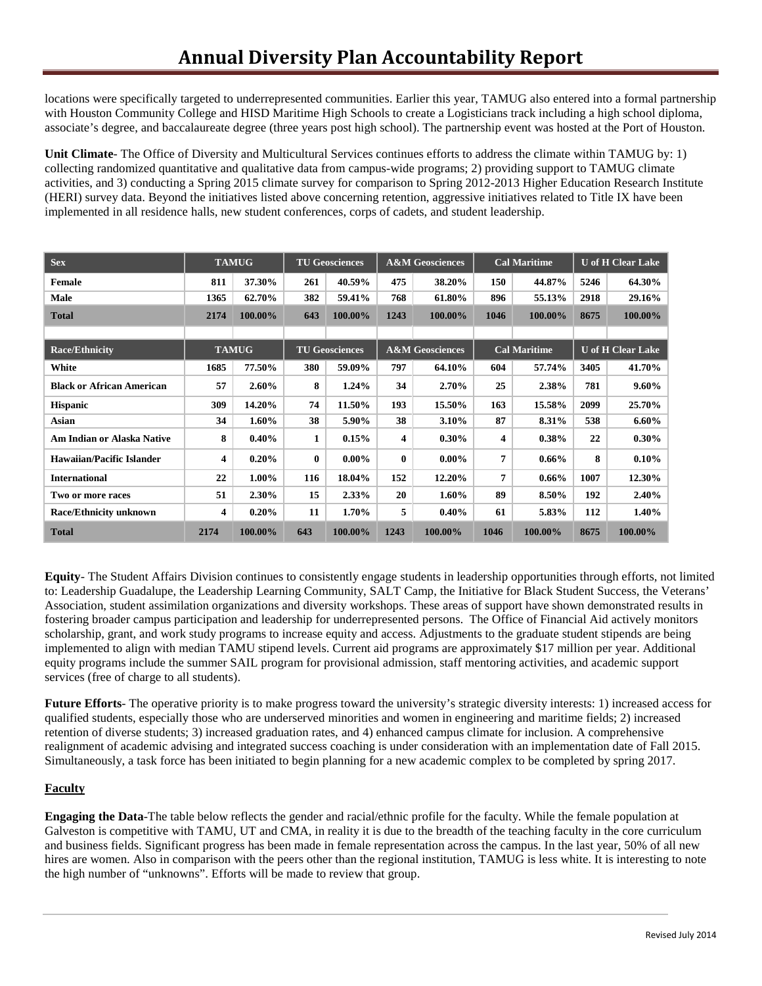locations were specifically targeted to underrepresented communities. Earlier this year, TAMUG also entered into a formal partnership with Houston Community College and HISD Maritime High Schools to create a Logisticians track including a high school diploma, associate's degree, and baccalaureate degree (three years post high school). The partnership event was hosted at the Port of Houston.

**Unit Climate**- The Office of Diversity and Multicultural Services continues efforts to address the climate within TAMUG by: 1) collecting randomized quantitative and qualitative data from campus-wide programs; 2) providing support to TAMUG climate activities, and 3) conducting a Spring 2015 climate survey for comparison to Spring 2012-2013 Higher Education Research Institute (HERI) survey data. Beyond the initiatives listed above concerning retention, aggressive initiatives related to Title IX have been implemented in all residence halls, new student conferences, corps of cadets, and student leadership.

| <b>Sex</b>                       | <b>TAMUG</b> |          | <b>TU Geosciences</b> |          | <b>A&amp;M</b> Geosciences |          | <b>Cal Maritime</b> |          | <b>U</b> of H Clear Lake |          |
|----------------------------------|--------------|----------|-----------------------|----------|----------------------------|----------|---------------------|----------|--------------------------|----------|
| Female                           | 811          | 37.30%   | 261                   | 40.59%   | 475                        | 38.20%   | 150                 | 44.87%   | 5246                     | 64.30%   |
| Male                             | 1365         | 62.70%   | 382                   | 59.41%   | 768                        | 61.80%   | 896                 | 55.13%   | 2918                     | 29.16%   |
| <b>Total</b>                     | 2174         | 100.00%  | 643                   | 100.00%  | 1243                       | 100.00%  | 1046                | 100.00%  | 8675                     | 100.00%  |
|                                  |              |          |                       |          |                            |          |                     |          |                          |          |
| <b>Race/Ethnicity</b>            | <b>TAMUG</b> |          | <b>TU Geosciences</b> |          | <b>A&amp;M</b> Geosciences |          | <b>Cal Maritime</b> |          | <b>U</b> of H Clear Lake |          |
| White                            | 1685         | 77.50%   | 380                   | 59.09%   | 797                        | 64.10%   | 604                 | 57.74%   | 3405                     | 41.70%   |
| <b>Black or African American</b> | 57           | $2.60\%$ | 8                     | $1.24\%$ | 34                         | 2.70%    | 25                  | 2.38%    | 781                      | $9.60\%$ |
| <b>Hispanic</b>                  | 309          | 14.20%   | 74                    | 11.50%   | 193                        | 15.50%   | 163                 | 15.58%   | 2099                     | 25.70%   |
| Asian                            | 34           | $1.60\%$ | 38                    | 5.90%    | 38                         | 3.10%    | 87                  | 8.31%    | 538                      | $6.60\%$ |
| Am Indian or Alaska Native       | 8            | 0.40%    | 1                     | $0.15\%$ | 4                          | $0.30\%$ | 4                   | $0.38\%$ | 22                       | $0.30\%$ |
| <b>Hawaiian/Pacific Islander</b> | 4            | $0.20\%$ | $\bf{0}$              | $0.00\%$ | $\bf{0}$                   | $0.00\%$ | 7                   | $0.66\%$ | 8                        | $0.10\%$ |
| <b>International</b>             | 22           | $1.00\%$ | 116                   | 18.04%   | 152                        | 12.20%   | 7                   | $0.66\%$ | 1007                     | 12.30%   |
| Two or more races                | 51           | 2.30%    | 15                    | 2.33%    | 20                         | $1.60\%$ | 89                  | 8.50%    | 192                      | 2.40%    |
| Race/Ethnicity unknown           | 4            | $0.20\%$ | 11                    | $1.70\%$ | 5                          | $0.40\%$ | 61                  | 5.83%    | 112                      | $1.40\%$ |
| <b>Total</b>                     | 2174         | 100.00%  | 643                   | 100.00%  | 1243                       | 100.00%  | 1046                | 100.00%  | 8675                     | 100.00%  |

**Equity**- The Student Affairs Division continues to consistently engage students in leadership opportunities through efforts, not limited to: Leadership Guadalupe, the Leadership Learning Community, SALT Camp, the Initiative for Black Student Success, the Veterans' Association, student assimilation organizations and diversity workshops. These areas of support have shown demonstrated results in fostering broader campus participation and leadership for underrepresented persons. The Office of Financial Aid actively monitors scholarship, grant, and work study programs to increase equity and access. Adjustments to the graduate student stipends are being implemented to align with median TAMU stipend levels. Current aid programs are approximately \$17 million per year. Additional equity programs include the summer SAIL program for provisional admission, staff mentoring activities, and academic support services (free of charge to all students).

**Future Efforts**- The operative priority is to make progress toward the university's strategic diversity interests: 1) increased access for qualified students, especially those who are underserved minorities and women in engineering and maritime fields; 2) increased retention of diverse students; 3) increased graduation rates, and 4) enhanced campus climate for inclusion. A comprehensive realignment of academic advising and integrated success coaching is under consideration with an implementation date of Fall 2015. Simultaneously, a task force has been initiated to begin planning for a new academic complex to be completed by spring 2017.

### **Faculty**

**Engaging the Data**-The table below reflects the gender and racial/ethnic profile for the faculty. While the female population at Galveston is competitive with TAMU, UT and CMA, in reality it is due to the breadth of the teaching faculty in the core curriculum and business fields. Significant progress has been made in female representation across the campus. In the last year, 50% of all new hires are women. Also in comparison with the peers other than the regional institution, TAMUG is less white. It is interesting to note the high number of "unknowns". Efforts will be made to review that group.